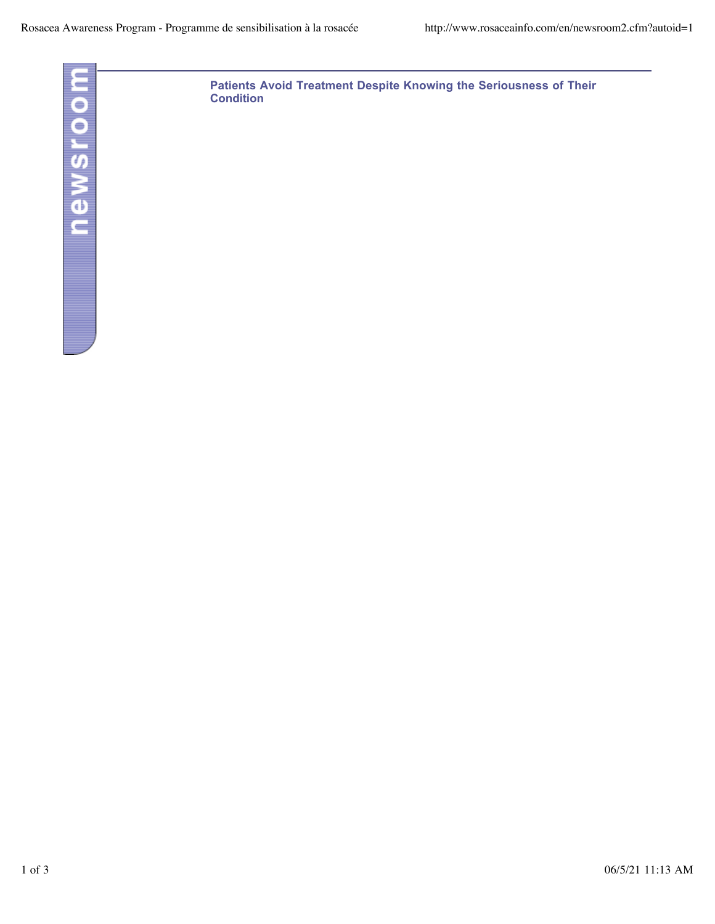

**Patients Avoid Treatment Despite Knowing the Seriousness of Their Condition**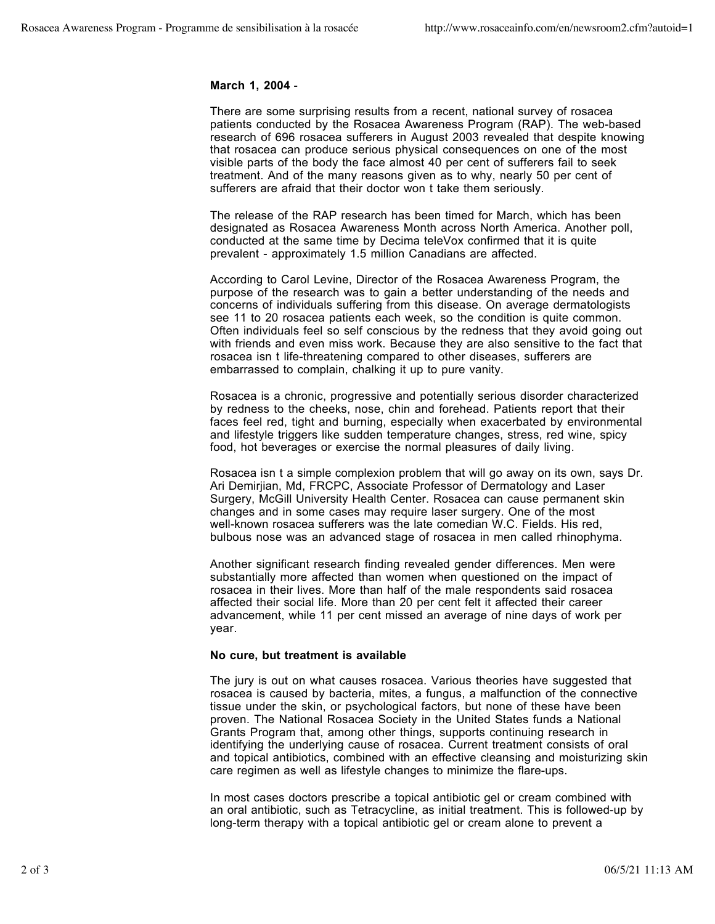## **March 1, 2004** -

There are some surprising results from a recent, national survey of rosacea patients conducted by the Rosacea Awareness Program (RAP). The web-based research of 696 rosacea sufferers in August 2003 revealed that despite knowing that rosacea can produce serious physical consequences on one of the most visible parts of the body the face almost 40 per cent of sufferers fail to seek treatment. And of the many reasons given as to why, nearly 50 per cent of sufferers are afraid that their doctor won t take them seriously.

The release of the RAP research has been timed for March, which has been designated as Rosacea Awareness Month across North America. Another poll, conducted at the same time by Decima teleVox confirmed that it is quite prevalent - approximately 1.5 million Canadians are affected.

According to Carol Levine, Director of the Rosacea Awareness Program, the purpose of the research was to gain a better understanding of the needs and concerns of individuals suffering from this disease. On average dermatologists see 11 to 20 rosacea patients each week, so the condition is quite common. Often individuals feel so self conscious by the redness that they avoid going out with friends and even miss work. Because they are also sensitive to the fact that rosacea isn t life-threatening compared to other diseases, sufferers are embarrassed to complain, chalking it up to pure vanity.

Rosacea is a chronic, progressive and potentially serious disorder characterized by redness to the cheeks, nose, chin and forehead. Patients report that their faces feel red, tight and burning, especially when exacerbated by environmental and lifestyle triggers like sudden temperature changes, stress, red wine, spicy food, hot beverages or exercise the normal pleasures of daily living.

Rosacea isn t a simple complexion problem that will go away on its own, says Dr. Ari Demirjian, Md, FRCPC, Associate Professor of Dermatology and Laser Surgery, McGill University Health Center. Rosacea can cause permanent skin changes and in some cases may require laser surgery. One of the most well-known rosacea sufferers was the late comedian W.C. Fields. His red, bulbous nose was an advanced stage of rosacea in men called rhinophyma.

Another significant research finding revealed gender differences. Men were substantially more affected than women when questioned on the impact of rosacea in their lives. More than half of the male respondents said rosacea affected their social life. More than 20 per cent felt it affected their career advancement, while 11 per cent missed an average of nine days of work per year.

## **No cure, but treatment is available**

The jury is out on what causes rosacea. Various theories have suggested that rosacea is caused by bacteria, mites, a fungus, a malfunction of the connective tissue under the skin, or psychological factors, but none of these have been proven. The National Rosacea Society in the United States funds a National Grants Program that, among other things, supports continuing research in identifying the underlying cause of rosacea. Current treatment consists of oral and topical antibiotics, combined with an effective cleansing and moisturizing skin care regimen as well as lifestyle changes to minimize the flare-ups.

In most cases doctors prescribe a topical antibiotic gel or cream combined with an oral antibiotic, such as Tetracycline, as initial treatment. This is followed-up by long-term therapy with a topical antibiotic gel or cream alone to prevent a